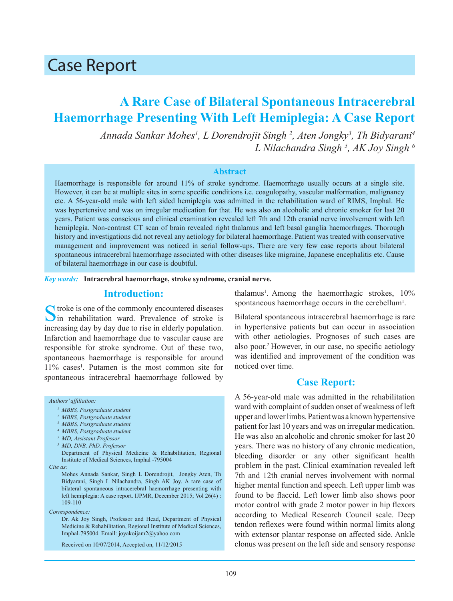# Case Report

## **A Rare Case of Bilateral Spontaneous Intracerebral Haemorrhage Presenting With Left Hemiplegia: A Case Report**

*Annada Sankar Mohes1 , L Dorendrojit Singh 2 , Aten Jongky3 , Th Bidyarani4 L Nilachandra Singh <sup>5</sup> , AK Joy Singh 6*

#### **Abstract**

Haemorrhage is responsible for around 11% of stroke syndrome. Haemorrhage usually occurs at a single site. However, it can be at multiple sites in some specific conditions i.e. coagulopathy, vascular malformation, malignancy etc. A 56-year-old male with left sided hemiplegia was admitted in the rehabilitation ward of RIMS, Imphal. He was hypertensive and was on irregular medication for that. He was also an alcoholic and chronic smoker for last 20 years. Patient was conscious and clinical examination revealed left 7th and 12th cranial nerve involvement with left hemiplegia. Non-contrast CT scan of brain revealed right thalamus and left basal ganglia haemorrhages. Thorough history and investigations did not reveal any aetiology for bilateral haemorrhage. Patient was treated with conservative management and improvement was noticed in serial follow-ups. There are very few case reports about bilateral spontaneous intracerebral haemorrhage associated with other diseases like migraine, Japanese encephalitis etc. Cause of bilateral haemorrhage in our case is doubtful.

*Key words:* **Intracrebral haemorrhage, stroke syndrome, cranial nerve.**

## **Introduction:**

 $\bigcap$  troke is one of the commonly encountered diseases  $\sum$  in rehabilitation ward. Prevalence of stroke is increasing day by day due to rise in elderly population. Infarction and haemorrhage due to vascular cause are responsible for stroke syndrome. Out of these two, spontaneous haemorrhage is responsible for around 11% cases1 . Putamen is the most common site for spontaneous intracerebral haemorrhage followed by

#### *Authors' affiliation:*

- *2 MBBS, Postgraduate student*
- *3 MBBS, Postgraduate student*
- *4 MBBS, Postgraduate student*
- *5 MD, Assistant Professor*
- *5 MD, DNB, PhD, Professor*

Department of Physical Medicine & Rehabilitation, Regional Institute of Medical Sciences, Imphal -795004

*Cite as:*

Mohes Annada Sankar, Singh L Dorendrojit, Jongky Aten, Th Bidyarani, Singh L Nilachandra, Singh AK Joy. A rare case of bilateral spontaneous intracerebral haemorrhage presenting with left hemiplegia: A case report. IJPMR, December 2015; Vol 26(4) : 109-110

*Correspondence:*

Dr. Ak Joy Singh, Professor and Head, Department of Physical Medicine & Rehabilitation, Regional Institute of Medical Sciences, Imphal-795004. Email: joyakoijam2@yahoo.com

Received on 10/07/2014, Accepted on, 11/12/2015

thalamus<sup>1</sup>. Among the haemorrhagic strokes, 10% spontaneous haemorrhage occurs in the cerebellum<sup>1</sup>.

Bilateral spontaneous intracerebral haemorrhage is rare in hypertensive patients but can occur in association with other aetiologies. Prognoses of such cases are also poor.2 However, in our case, no specific aetiology was identified and improvement of the condition was noticed over time.

### **Case Report:**

A 56-year-old male was admitted in the rehabilitation ward with complaint of sudden onset of weakness of left upper and lower limbs. Patient was a known hypertensive patient for last 10 years and was on irregular medication. He was also an alcoholic and chronic smoker for last 20 years. There was no history of any chronic medication, bleeding disorder or any other significant health problem in the past. Clinical examination revealed left 7th and 12th cranial nerves involvement with normal higher mental function and speech. Left upper limb was found to be flaccid. Left lower limb also shows poor motor control with grade 2 motor power in hip flexors according to Medical Research Council scale. Deep tendon reflexes were found within normal limits along with extensor plantar response on affected side. Ankle clonus was present on the left side and sensory response

*<sup>1</sup> MBBS, Postgraduate student*